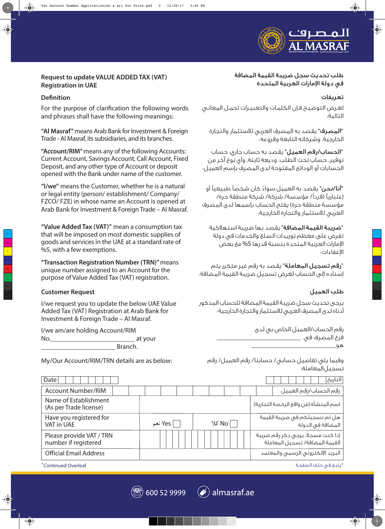

# **Request to update VALUE ADDED TAX (VAT) Registration in UAE**

## **Definition**

For the purpose of clarification the following words and phrases shall have the following meanings:

**"Al Masraf"** means Arab Bank for Investment & Foreign Trade - Al Masraf, its subsidiaries, and its branches.

**"Account/RIM"** means any of the following Accounts: Current Account, Savings Account, Call Account, Fixed Deposit, and any other type of Account or deposit opened with the Bank under name of the customer.

**"I/we"** means the Customer, whether he is a natural or legal entity (person/ establishment/ Company/ FZCO/ FZE) in whose name an Account is opened at Arab Bank for Investment & Foreign Trade – Al Masraf.

**"Value Added Tax (VAT)"** mean a consumption tax that will be imposed on most domestic supplies of goods and services in the UAE at a standard rate of %5, with a few exemptions.

**"Transaction Registration Number (TRN)"** means unique number assigned to an Account for the purpose of Value Added Tax (VAT) registration.

### **Customer Request**

I/we request you to update the below UAE Value Added Tax (VAT) Registration at Arab Bank for Investment & Foreign Trade – Al Masraf.

I/we am/are holding Account/RIM No. The contract of the contract of the contract of the contract of the contract of the contract of the contract of the contract of the contract of the contract of the contract of the contract of the contract of the contra \_\_\_\_\_\_\_\_\_\_\_\_\_\_\_\_\_\_\_\_\_\_ Branch.

My/Our Account/RIM/TRN details are as below:

طلب تحديث سجل ضريبة القيمة المضافة في دولة امارات العربية المتحدة

#### تعريفات

لغـرض التوضيـح فـإن الكلمـات والتعبيـرات تحمـل المعانـي التالية٠:

٠"المصرف" يقصد به المصرف العربي للاستثمار والتجارة الخارجية، وشركاته التابعة وفروعه٠

٠"الحساب/رقم العميل" يقصد به حساب جاري، حساب توفير، حساب تحت الطلب، وديعة ثابتة، وأي نوع آخر من الحسابات أو الودائع المفتوحة لدى المصرف بإسم العميل٠

"**أنا/نحن**" يقصد به العميل سواءً كان شخصاً طبيعياً أو إعتبارياً (فرداً/ مؤسسة/ شركة/ شركة منطقة حرة/ مؤسسة منطقة حرة) يفتح الحساب بإسمها لدى المصرف العربي للاستثمار والتجارة الخارجية٠

**"ضريبة القيمة المضافة"** يقصد بها ضريبة استهلاكية تفرض على معظم توريدات السلع والخدمات في دولة الإمارات العربية المتحدة بنسبة قدرها 5% مع بعض اعفاءات٠

**"رقم تسجيل المعاملة"** يقصد به رقم غير متكرر يتم إسناده إلى الحساب لغرض تسجيل ضريبة القيمة المضافة٠

### طلب العميل

يرجى تحديث سجل ضريبة القيمة المضافة للحساب المذكور أدناه لدى المصرف العربي للاستثمار والتجارة الخارجية٠

| رقم الحساب/العميل الخاص بى لدى |
|--------------------------------|
| فرع المصرف فى                  |
| ൶                              |

وفيما يلي تفاصيل حسابي/ حسابنا/ رقم العميل/ رقم تسجيل المعاملة٠:

| Date                                             |         |         | التاريخ                                                              |
|--------------------------------------------------|---------|---------|----------------------------------------------------------------------|
| <b>Account Number/RIM</b>                        |         |         | رقم الحساب/رقم العميل                                                |
| Name of Establishment<br>(As per Trade license)  |         |         | اسم المنشأة (من واقع الرخصة التجارية)                                |
| Have you registered for<br><b>VAT in UAE</b>     | Yes نعم | No∣ کلا | هل تم تسجيلكم فى ضريبة القيمة<br>المضافة فى الدولة                   |
| Please provide VAT / TRN<br>number if registered |         |         | إذا كنت مسجلًا، يرجى ذكر رقم ضريبة<br>القيمة المضافة/ تسجيل المعاملة |
| <b>Official Email Address</b>                    |         |         | البريد الإلكتروني الرسمى والمعتمد                                    |
| *Continued Overleaf                              |         |         | *يتبع فى خلف الصفحة                                                  |